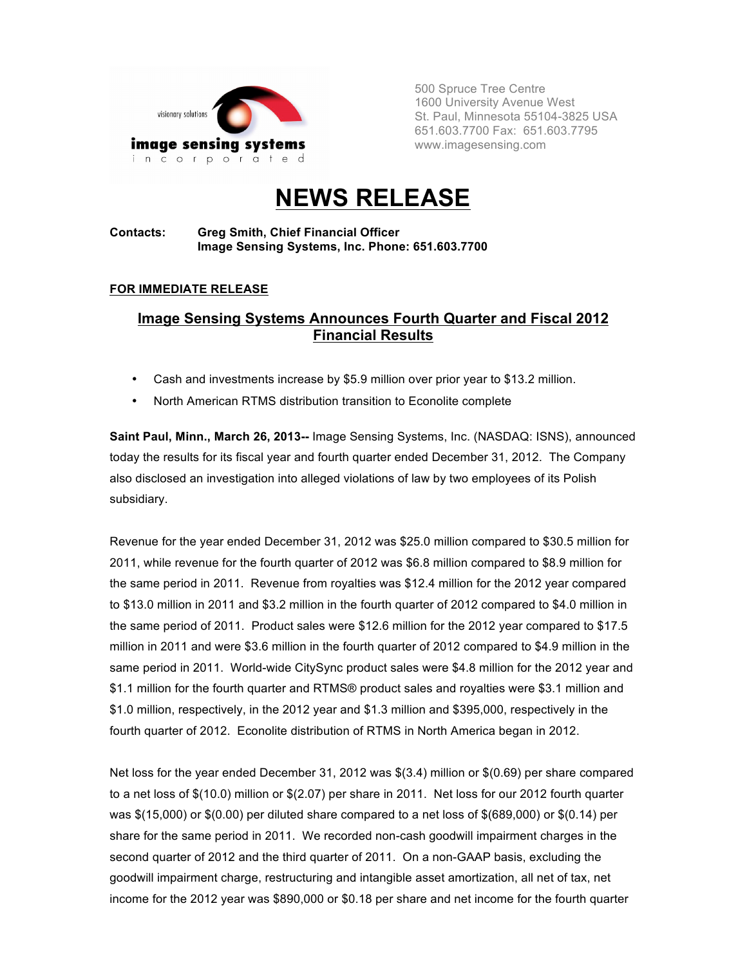

500 Spruce Tree Centre 1600 University Avenue West St. Paul, Minnesota 55104-3825 USA 651.603.7700 Fax: 651.603.7795 www.imagesensing.com

# **NEWS RELEASE**

#### **Contacts: Greg Smith, Chief Financial Officer Image Sensing Systems, Inc. Phone: 651.603.7700**

#### **FOR IMMEDIATE RELEASE**

### **Image Sensing Systems Announces Fourth Quarter and Fiscal 2012 Financial Results**

- Cash and investments increase by \$5.9 million over prior year to \$13.2 million.
- North American RTMS distribution transition to Econolite complete

**Saint Paul, Minn., March 26, 2013--** Image Sensing Systems, Inc. (NASDAQ: ISNS), announced today the results for its fiscal year and fourth quarter ended December 31, 2012. The Company also disclosed an investigation into alleged violations of law by two employees of its Polish subsidiary.

Revenue for the year ended December 31, 2012 was \$25.0 million compared to \$30.5 million for 2011, while revenue for the fourth quarter of 2012 was \$6.8 million compared to \$8.9 million for the same period in 2011. Revenue from royalties was \$12.4 million for the 2012 year compared to \$13.0 million in 2011 and \$3.2 million in the fourth quarter of 2012 compared to \$4.0 million in the same period of 2011. Product sales were \$12.6 million for the 2012 year compared to \$17.5 million in 2011 and were \$3.6 million in the fourth quarter of 2012 compared to \$4.9 million in the same period in 2011. World-wide CitySync product sales were \$4.8 million for the 2012 year and \$1.1 million for the fourth quarter and RTMS® product sales and royalties were \$3.1 million and \$1.0 million, respectively, in the 2012 year and \$1.3 million and \$395,000, respectively in the fourth quarter of 2012. Econolite distribution of RTMS in North America began in 2012.

Net loss for the year ended December 31, 2012 was \$(3.4) million or \$(0.69) per share compared to a net loss of \$(10.0) million or \$(2.07) per share in 2011. Net loss for our 2012 fourth quarter was \$(15,000) or \$(0.00) per diluted share compared to a net loss of \$(689,000) or \$(0.14) per share for the same period in 2011. We recorded non-cash goodwill impairment charges in the second quarter of 2012 and the third quarter of 2011. On a non-GAAP basis, excluding the goodwill impairment charge, restructuring and intangible asset amortization, all net of tax, net income for the 2012 year was \$890,000 or \$0.18 per share and net income for the fourth quarter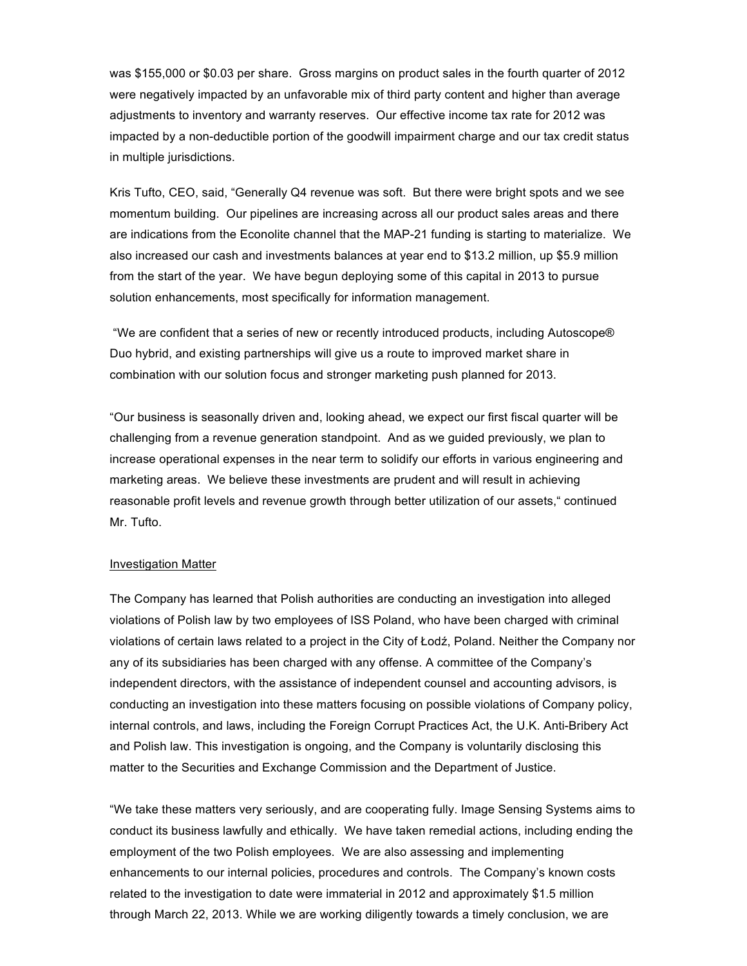was \$155,000 or \$0.03 per share. Gross margins on product sales in the fourth quarter of 2012 were negatively impacted by an unfavorable mix of third party content and higher than average adjustments to inventory and warranty reserves. Our effective income tax rate for 2012 was impacted by a non-deductible portion of the goodwill impairment charge and our tax credit status in multiple jurisdictions.

Kris Tufto, CEO, said, "Generally Q4 revenue was soft. But there were bright spots and we see momentum building. Our pipelines are increasing across all our product sales areas and there are indications from the Econolite channel that the MAP-21 funding is starting to materialize. We also increased our cash and investments balances at year end to \$13.2 million, up \$5.9 million from the start of the year. We have begun deploying some of this capital in 2013 to pursue solution enhancements, most specifically for information management.

"We are confident that a series of new or recently introduced products, including Autoscope® Duo hybrid, and existing partnerships will give us a route to improved market share in combination with our solution focus and stronger marketing push planned for 2013.

"Our business is seasonally driven and, looking ahead, we expect our first fiscal quarter will be challenging from a revenue generation standpoint. And as we guided previously, we plan to increase operational expenses in the near term to solidify our efforts in various engineering and marketing areas. We believe these investments are prudent and will result in achieving reasonable profit levels and revenue growth through better utilization of our assets," continued Mr. Tufto.

#### Investigation Matter

The Company has learned that Polish authorities are conducting an investigation into alleged violations of Polish law by two employees of ISS Poland, who have been charged with criminal violations of certain laws related to a project in the City of Łodź, Poland. Neither the Company nor any of its subsidiaries has been charged with any offense. A committee of the Company's independent directors, with the assistance of independent counsel and accounting advisors, is conducting an investigation into these matters focusing on possible violations of Company policy, internal controls, and laws, including the Foreign Corrupt Practices Act, the U.K. Anti-Bribery Act and Polish law. This investigation is ongoing, and the Company is voluntarily disclosing this matter to the Securities and Exchange Commission and the Department of Justice.

"We take these matters very seriously, and are cooperating fully. Image Sensing Systems aims to conduct its business lawfully and ethically. We have taken remedial actions, including ending the employment of the two Polish employees. We are also assessing and implementing enhancements to our internal policies, procedures and controls. The Company's known costs related to the investigation to date were immaterial in 2012 and approximately \$1.5 million through March 22, 2013. While we are working diligently towards a timely conclusion, we are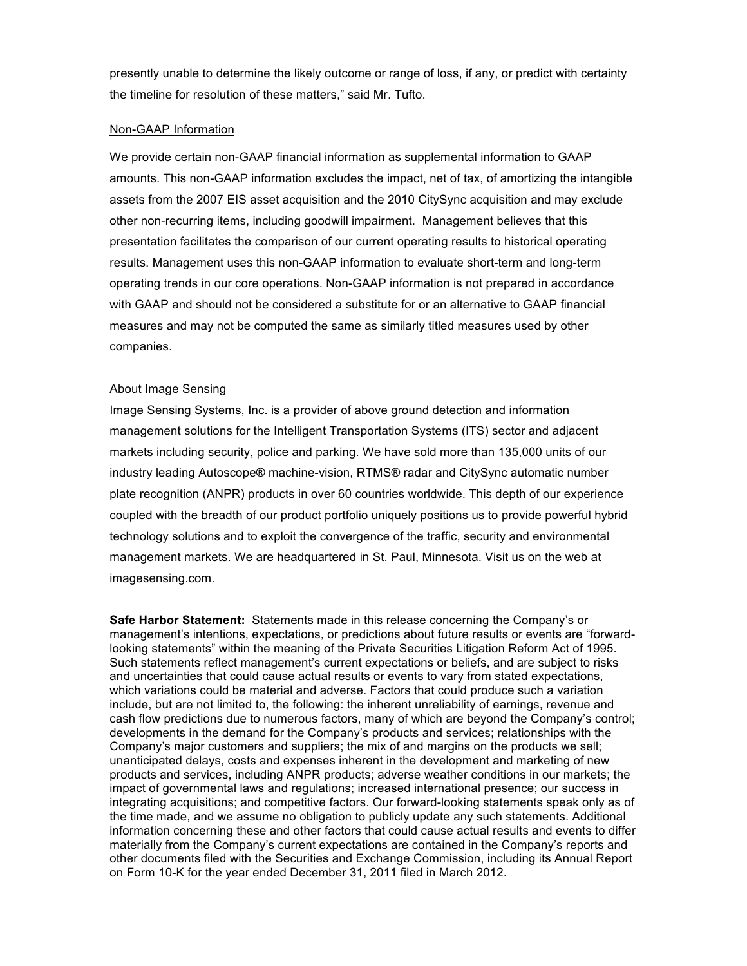presently unable to determine the likely outcome or range of loss, if any, or predict with certainty the timeline for resolution of these matters," said Mr. Tufto.

#### Non-GAAP Information

We provide certain non-GAAP financial information as supplemental information to GAAP amounts. This non-GAAP information excludes the impact, net of tax, of amortizing the intangible assets from the 2007 EIS asset acquisition and the 2010 CitySync acquisition and may exclude other non-recurring items, including goodwill impairment. Management believes that this presentation facilitates the comparison of our current operating results to historical operating results. Management uses this non-GAAP information to evaluate short-term and long-term operating trends in our core operations. Non-GAAP information is not prepared in accordance with GAAP and should not be considered a substitute for or an alternative to GAAP financial measures and may not be computed the same as similarly titled measures used by other companies.

#### About Image Sensing

Image Sensing Systems, Inc. is a provider of above ground detection and information management solutions for the Intelligent Transportation Systems (ITS) sector and adjacent markets including security, police and parking. We have sold more than 135,000 units of our industry leading Autoscope® machine-vision, RTMS® radar and CitySync automatic number plate recognition (ANPR) products in over 60 countries worldwide. This depth of our experience coupled with the breadth of our product portfolio uniquely positions us to provide powerful hybrid technology solutions and to exploit the convergence of the traffic, security and environmental management markets. We are headquartered in St. Paul, Minnesota. Visit us on the web at imagesensing.com.

**Safe Harbor Statement:** Statements made in this release concerning the Company's or management's intentions, expectations, or predictions about future results or events are "forwardlooking statements" within the meaning of the Private Securities Litigation Reform Act of 1995. Such statements reflect management's current expectations or beliefs, and are subject to risks and uncertainties that could cause actual results or events to vary from stated expectations, which variations could be material and adverse. Factors that could produce such a variation include, but are not limited to, the following: the inherent unreliability of earnings, revenue and cash flow predictions due to numerous factors, many of which are beyond the Company's control; developments in the demand for the Company's products and services; relationships with the Company's major customers and suppliers; the mix of and margins on the products we sell; unanticipated delays, costs and expenses inherent in the development and marketing of new products and services, including ANPR products; adverse weather conditions in our markets; the impact of governmental laws and regulations; increased international presence; our success in integrating acquisitions; and competitive factors. Our forward-looking statements speak only as of the time made, and we assume no obligation to publicly update any such statements. Additional information concerning these and other factors that could cause actual results and events to differ materially from the Company's current expectations are contained in the Company's reports and other documents filed with the Securities and Exchange Commission, including its Annual Report on Form 10-K for the year ended December 31, 2011 filed in March 2012.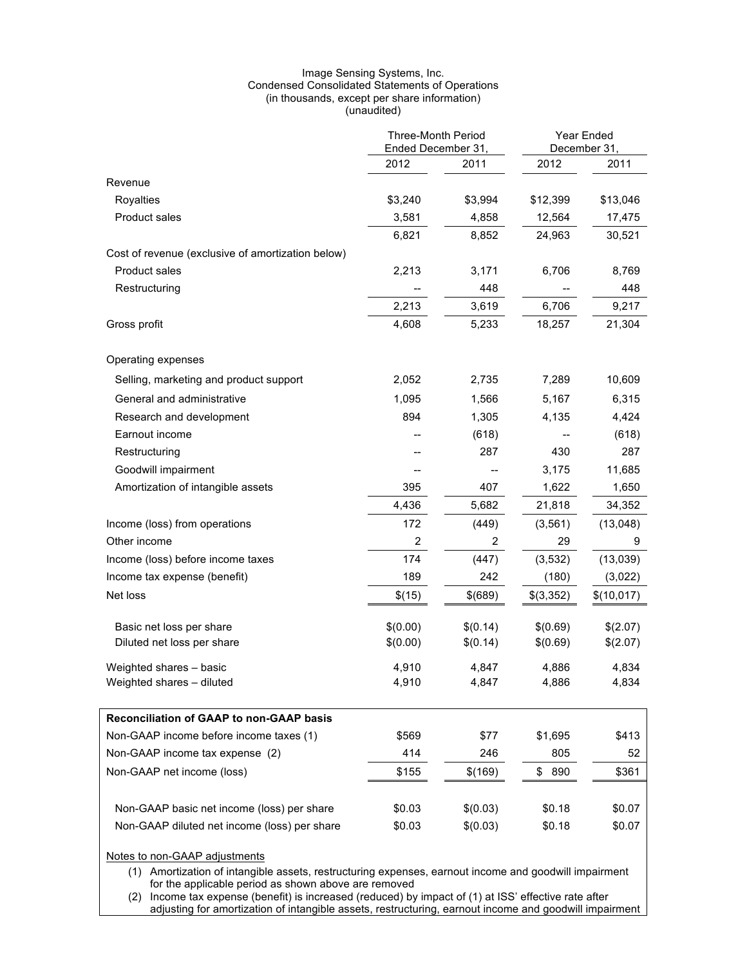#### Image Sensing Systems, Inc. Condensed Consolidated Statements of Operations (in thousands, except per share information) (unaudited)

|                                                   | <b>Three-Month Period</b><br>Ended December 31, |          | Year Ended<br>December 31 |            |
|---------------------------------------------------|-------------------------------------------------|----------|---------------------------|------------|
|                                                   | 2012                                            | 2011     | 2012                      | 2011       |
| Revenue                                           |                                                 |          |                           |            |
| Royalties                                         | \$3,240                                         | \$3,994  | \$12,399                  | \$13,046   |
| Product sales                                     | 3,581                                           | 4,858    | 12,564                    | 17,475     |
|                                                   | 6,821                                           | 8,852    | 24,963                    | 30,521     |
| Cost of revenue (exclusive of amortization below) |                                                 |          |                           |            |
| <b>Product sales</b>                              | 2,213                                           | 3,171    | 6,706                     | 8,769      |
| Restructuring                                     |                                                 | 448      |                           | 448        |
|                                                   | 2,213                                           | 3,619    | 6,706                     | 9,217      |
| Gross profit                                      | 4,608                                           | 5,233    | 18,257                    | 21,304     |
| Operating expenses                                |                                                 |          |                           |            |
| Selling, marketing and product support            | 2,052                                           | 2,735    | 7,289                     | 10,609     |
| General and administrative                        | 1,095                                           | 1,566    | 5,167                     | 6,315      |
| Research and development                          | 894                                             | 1,305    | 4,135                     | 4,424      |
| Earnout income                                    |                                                 | (618)    |                           | (618)      |
| Restructuring                                     |                                                 | 287      | 430                       | 287        |
| Goodwill impairment                               |                                                 |          | 3,175                     | 11,685     |
| Amortization of intangible assets                 | 395                                             | 407      | 1,622                     | 1,650      |
|                                                   | 4,436                                           | 5,682    | 21,818                    | 34,352     |
| Income (loss) from operations                     | 172                                             | (449)    | (3, 561)                  | (13,048)   |
| Other income                                      | $\overline{2}$                                  | 2        | 29                        | 9          |
| Income (loss) before income taxes                 | 174                                             | (447)    | (3, 532)                  | (13,039)   |
| Income tax expense (benefit)                      | 189                                             | 242      | (180)                     | (3,022)    |
| Net loss                                          | \$(15)                                          | \$(689)  | \$(3,352)                 | \$(10,017) |
| Basic net loss per share                          | \$(0.00)                                        | \$(0.14) | \$(0.69)                  | \$(2.07)   |
| Diluted net loss per share                        | \$(0.00)                                        | \$(0.14) | \$(0.69)                  | \$(2.07)   |
| Weighted shares - basic                           | 4,910                                           | 4,847    | 4,886                     | 4,834      |
| Weighted shares - diluted                         | 4,910                                           | 4,847    | 4,886                     | 4,834      |
| <b>Reconciliation of GAAP to non-GAAP basis</b>   |                                                 |          |                           |            |
| Non-GAAP income before income taxes (1)           | \$569                                           | \$77     | \$1,695                   | \$413      |
| Non-GAAP income tax expense (2)                   | 414                                             | 246      | 805                       | 52         |
| Non-GAAP net income (loss)                        | \$155                                           | \$(169)  | \$<br>890                 | \$361      |
| Non-GAAP basic net income (loss) per share        | \$0.03                                          | \$(0.03) | \$0.18                    | \$0.07     |
| Non-GAAP diluted net income (loss) per share      | \$0.03                                          | \$(0.03) | \$0.18                    | \$0.07     |
|                                                   |                                                 |          |                           |            |

#### Notes to non-GAAP adjustments

(1) Amortization of intangible assets, restructuring expenses, earnout income and goodwill impairment for the applicable period as shown above are removed

(2) Income tax expense (benefit) is increased (reduced) by impact of (1) at ISS' effective rate after adjusting for amortization of intangible assets, restructuring, earnout income and goodwill impairment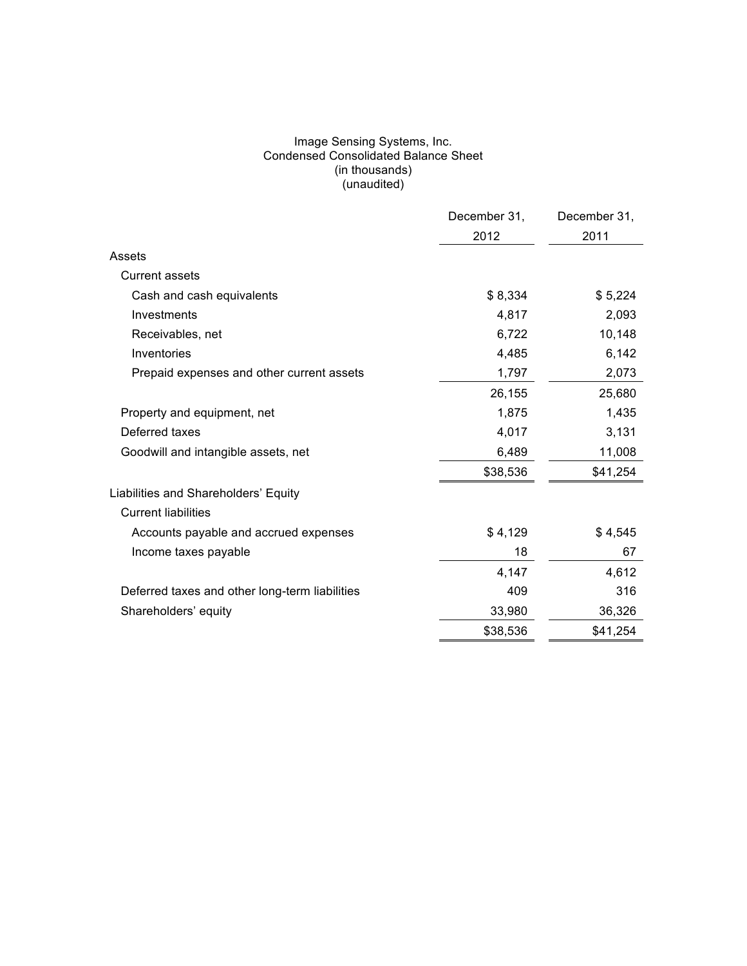#### Image Sensing Systems, Inc. Condensed Consolidated Balance Sheet (in thousands) (unaudited)

|                                                | December 31, | December 31, |
|------------------------------------------------|--------------|--------------|
|                                                | 2012         | 2011         |
| Assets                                         |              |              |
| <b>Current assets</b>                          |              |              |
| Cash and cash equivalents                      | \$8,334      | \$5,224      |
| Investments                                    | 4,817        | 2,093        |
| Receivables, net                               | 6,722        | 10,148       |
| Inventories                                    | 4,485        | 6,142        |
| Prepaid expenses and other current assets      | 1,797        | 2,073        |
|                                                | 26,155       | 25,680       |
| Property and equipment, net                    | 1,875        | 1,435        |
| Deferred taxes                                 | 4,017        | 3,131        |
| Goodwill and intangible assets, net            | 6,489        | 11,008       |
|                                                | \$38,536     | \$41,254     |
| Liabilities and Shareholders' Equity           |              |              |
| <b>Current liabilities</b>                     |              |              |
| Accounts payable and accrued expenses          | \$4,129      | \$4,545      |
| Income taxes payable                           | 18           | 67           |
|                                                | 4,147        | 4,612        |
| Deferred taxes and other long-term liabilities | 409          | 316          |
| Shareholders' equity                           | 33,980       | 36,326       |
|                                                | \$38,536     | \$41,254     |